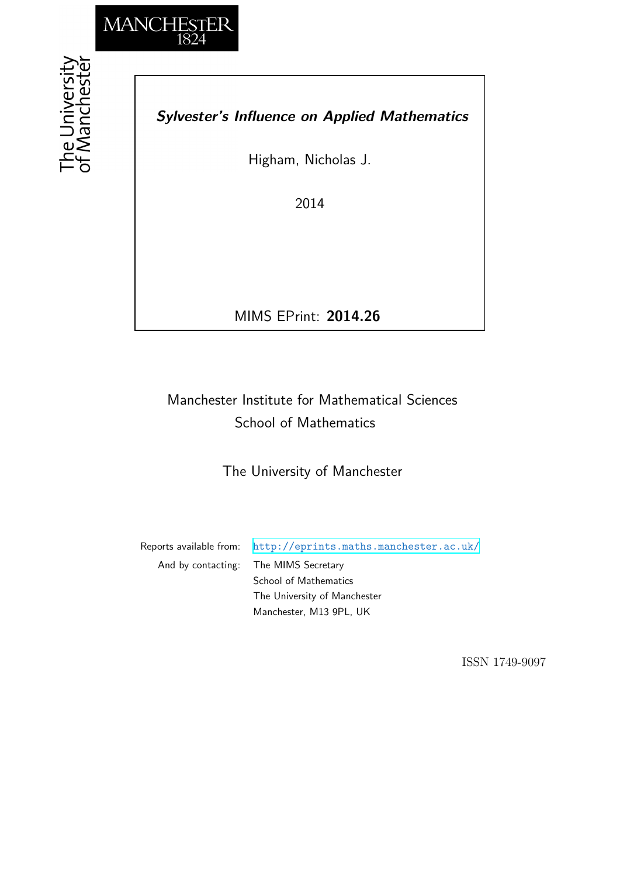

# *Sylvester's Influence on Applied Mathematics*

Higham, Nicholas J.

2014

MIMS EPrint: **2014.26**

# Manchester Institute for Mathematical Sciences School of Mathematics

The University of Manchester

Reports available from: <http://eprints.maths.manchester.ac.uk/> And by contacting: The MIMS Secretary School of Mathematics The University of Manchester

Manchester, M13 9PL, UK

ISSN 1749-9097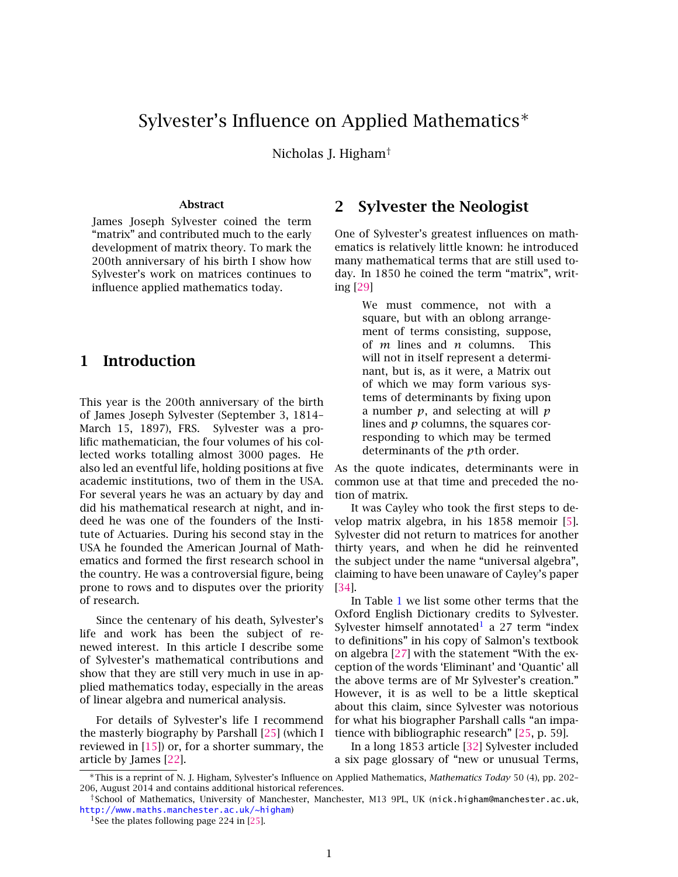## Sylvester's Influence on Applied Mathematics<sup>∗</sup>

Nicholas J. Higham†

#### Abstract

James Joseph Sylvester coined the term "matrix" and contributed much to the early development of matrix theory. To mark the 200th anniversary of his birth I show how Sylvester's work on matrices continues to influence applied mathematics today.

### 1 Introduction

This year is the 200th anniversary of the birth of James Joseph Sylvester (September 3, 1814– March 15, 1897), FRS. Sylvester was a prolific mathematician, the four volumes of his collected works totalling almost 3000 pages. He also led an eventful life, holding positions at five academic institutions, two of them in the USA. For several years he was an actuary by day and did his mathematical research at night, and indeed he was one of the founders of the Institute of Actuaries. During his second stay in the USA he founded the American Journal of Mathematics and formed the first research school in the country. He was a controversial figure, being prone to rows and to disputes over the priority of research.

Since the centenary of his death, Sylvester's life and work has been the subject of renewed interest. In this article I describe some of Sylvester's mathematical contributions and show that they are still very much in use in applied mathematics today, especially in the areas of linear algebra and numerical analysis.

For details of Sylvester's life I recommend the masterly biography by Parshall [\[25\]](#page-7-0) (which I reviewed in  $[15]$  or, for a shorter summary, the article by James [\[22\]](#page-7-2).

#### 2 Sylvester the Neologist

One of Sylvester's greatest influences on mathematics is relatively little known: he introduced many mathematical terms that are still used today. In 1850 he coined the term "matrix", writing [\[29\]](#page-7-3)

> We must commence, not with a square, but with an oblong arrangement of terms consisting, suppose, of *m* lines and *n* columns. This will not in itself represent a determinant, but is, as it were, a Matrix out of which we may form various systems of determinants by fixing upon a number *p*, and selecting at will *p* lines and *p* columns, the squares corresponding to which may be termed determinants of the *p*th order.

As the quote indicates, determinants were in common use at that time and preceded the notion of matrix.

It was Cayley who took the first steps to develop matrix algebra, in his 1858 memoir [\[5\]](#page-6-0). Sylvester did not return to matrices for another thirty years, and when he did he reinvented the subject under the name "universal algebra", claiming to have been unaware of Cayley's paper [\[34\]](#page-8-0).

In Table [1](#page-3-0) we list some other terms that the Oxford English Dictionary credits to Sylvester. Sylvester himself annotated<sup>[1](#page-1-0)</sup> a 27 term "index to definitions" in his copy of Salmon's textbook on algebra [\[27\]](#page-7-4) with the statement "With the exception of the words 'Eliminant' and 'Quantic' all the above terms are of Mr Sylvester's creation." However, it is as well to be a little skeptical about this claim, since Sylvester was notorious for what his biographer Parshall calls "an impatience with bibliographic research" [\[25,](#page-7-0) p. 59].

In a long 1853 article [\[32\]](#page-7-5) Sylvester included a six page glossary of "new or unusual Terms,

<sup>∗</sup>This is a reprint of N. J. Higham, Sylvester's Influence on Applied Mathematics, *Mathematics Today* 50 (4), pp. 202– 206, August 2014 and contains additional historical references.

<sup>†</sup>School of Mathematics, University of Manchester, Manchester, M13 9PL, UK (nick.higham@manchester.ac.uk, <http://www.maths.manchester.ac.uk/~higham>)

<span id="page-1-0"></span><sup>&</sup>lt;sup>1</sup>See the plates following page 224 in [\[25\]](#page-7-0).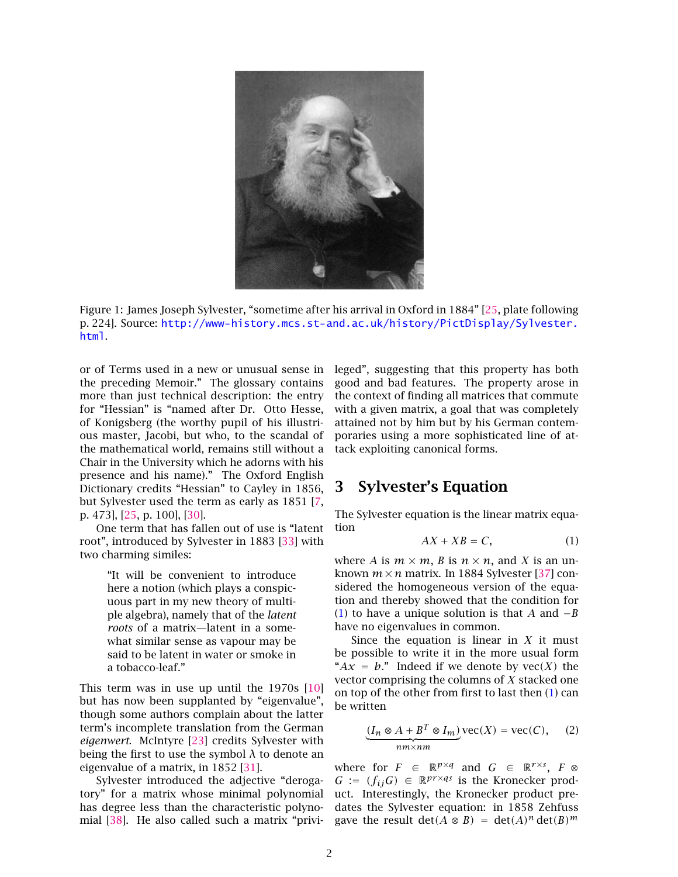

Figure 1: James Joseph Sylvester, "sometime after his arrival in Oxford in 1884" [\[25,](#page-7-0) plate following p. 224]. Source: [http://www-history.mcs.st-and.ac.uk/history/PictDisplay/Sylvester.](http://www-history.mcs.st-and.ac.uk/history/PictDisplay/Sylvester.html) [html](http://www-history.mcs.st-and.ac.uk/history/PictDisplay/Sylvester.html).

or of Terms used in a new or unusual sense in the preceding Memoir." The glossary contains more than just technical description: the entry for "Hessian" is "named after Dr. Otto Hesse, of Konigsberg (the worthy pupil of his illustrious master, Jacobi, but who, to the scandal of the mathematical world, remains still without a Chair in the University which he adorns with his presence and his name)." The Oxford English Dictionary credits "Hessian" to Cayley in 1856, but Sylvester used the term as early as 1851 [\[7,](#page-6-1) p. 473], [\[25,](#page-7-0) p. 100], [\[30\]](#page-7-6).

One term that has fallen out of use is "latent root", introduced by Sylvester in 1883 [\[33\]](#page-7-7) with two charming similes:

> "It will be convenient to introduce here a notion (which plays a conspicuous part in my new theory of multiple algebra), namely that of the *latent roots* of a matrix—latent in a somewhat similar sense as vapour may be said to be latent in water or smoke in a tobacco-leaf."

This term was in use up until the 1970s [\[10\]](#page-7-8) but has now been supplanted by "eigenvalue", though some authors complain about the latter term's incomplete translation from the German *eigenwert*. McIntyre [\[23\]](#page-7-9) credits Sylvester with being the first to use the symbol  $\lambda$  to denote an eigenvalue of a matrix, in 1852 [\[31\]](#page-7-10).

Sylvester introduced the adjective "derogatory" for a matrix whose minimal polynomial has degree less than the characteristic polynomial [\[38\]](#page-8-1). He also called such a matrix "privileged", suggesting that this property has both good and bad features. The property arose in the context of finding all matrices that commute with a given matrix, a goal that was completely attained not by him but by his German contemporaries using a more sophisticated line of attack exploiting canonical forms.

#### 3 Sylvester's Equation

The Sylvester equation is the linear matrix equation

<span id="page-2-0"></span>
$$
AX + XB = C,\tag{1}
$$

where *A* is  $m \times m$ , *B* is  $n \times n$ , and *X* is an unknown  $m \times n$  matrix. In 1884 Sylvester [\[37\]](#page-8-2) considered the homogeneous version of the equation and thereby showed that the condition for [\(1\)](#page-2-0) to have a unique solution is that *A* and −*B* have no eigenvalues in common.

Since the equation is linear in *X* it must be possible to write it in the more usual form " $Ax = b$ ." Indeed if we denote by  $\text{vec}(X)$  the vector comprising the columns of *X* stacked one on top of the other from first to last then [\(1\)](#page-2-0) can be written

<span id="page-2-1"></span>
$$
\underbrace{(I_n \otimes A + B^T \otimes I_m)}_{nm \times nm} \text{vec}(X) = \text{vec}(C), \quad (2)
$$

where for  $F \in \mathbb{R}^{p \times q}$  and  $G \in \mathbb{R}^{r \times s}$ ,  $F \otimes$ *G* :=  $(f_{ij}G)$  ∈ R<sup>*pr*×*qs*</sup> is the Kronecker product. Interestingly, the Kronecker product predates the Sylvester equation: in 1858 Zehfuss gave the result det $(A \otimes B) = \det(A)^n \det(B)^m$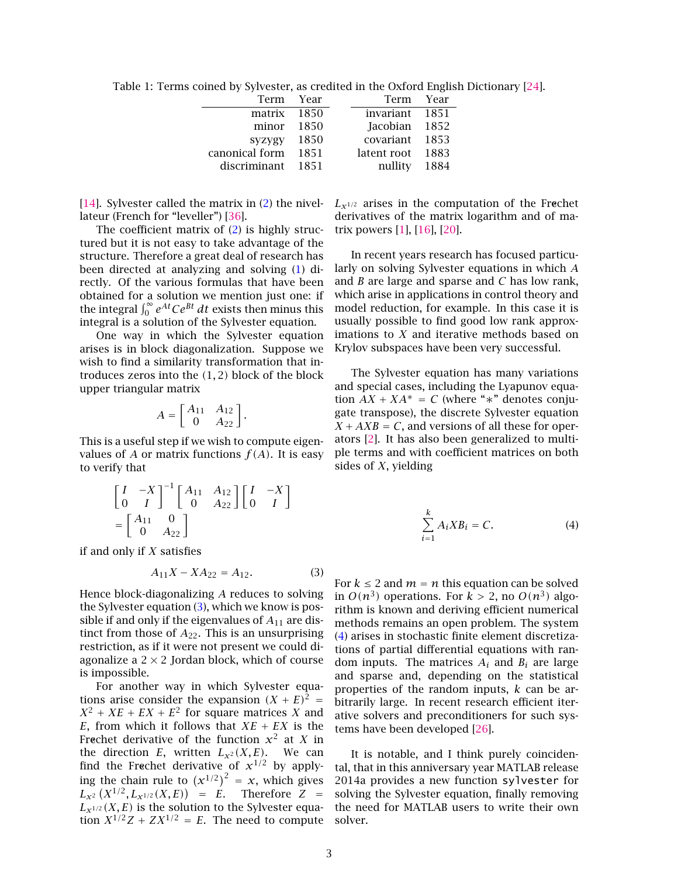<span id="page-3-0"></span>Table 1: Terms coined by Sylvester, as credited in the Oxford English Dictionary [\[24\]](#page-7-11).

| Term Year         |      | Term Year        |  |
|-------------------|------|------------------|--|
| matrix 1850       |      | invariant 1851   |  |
| $minor$ 1850      |      | Jacobian 1852    |  |
| $syzygy$ 1850     |      | covariant 1853   |  |
| canonical form    | 1851 | latent root 1883 |  |
| discriminant 1851 |      | nullity 1884     |  |

[\[14\]](#page-7-12). Sylvester called the matrix in [\(2\)](#page-2-1) the nivellateur (French for "leveller") [\[36\]](#page-8-3).

The coefficient matrix of [\(2\)](#page-2-1) is highly structured but it is not easy to take advantage of the structure. Therefore a great deal of research has been directed at analyzing and solving [\(1\)](#page-2-0) directly. Of the various formulas that have been obtained for a solution we mention just one: if the integral  $\int_0^\infty e^{At}Ce^{Bt} dt$  exists then minus this integral is a solution of the Sylvester equation.

One way in which the Sylvester equation arises is in block diagonalization. Suppose we wish to find a similarity transformation that introduces zeros into the *(*1*,* 2*)* block of the block upper triangular matrix

$$
A = \begin{bmatrix} A_{11} & A_{12} \\ 0 & A_{22} \end{bmatrix}.
$$

This is a useful step if we wish to compute eigenvalues of *A* or matrix functions  $f(A)$ . It is easy to verify that

$$
\begin{bmatrix} I & -X \\ 0 & I \end{bmatrix}^{-1} \begin{bmatrix} A_{11} & A_{12} \\ 0 & A_{22} \end{bmatrix} \begin{bmatrix} I & -X \\ 0 & I \end{bmatrix}
$$
\n
$$
= \begin{bmatrix} A_{11} & 0 \\ 0 & A_{22} \end{bmatrix}
$$

if and only if *X* satisfies

<span id="page-3-1"></span>
$$
A_{11}X - XA_{22} = A_{12}.
$$
 (3)

Hence block-diagonalizing *A* reduces to solving the Sylvester equation [\(3\)](#page-3-1), which we know is possible if and only if the eigenvalues of *A*<sup>11</sup> are distinct from those of *A*22. This is an unsurprising restriction, as if it were not present we could diagonalize a  $2 \times 2$  Jordan block, which of course is impossible.

For another way in which Sylvester equations arise consider the expansion  $(X + E)^2$  =  $X^2 + XE + EX + E^2$  for square matrices *X* and *E*, from which it follows that  $XE + EX$  is the Frechet derivative of the function  $x^2$  at  $X$  in the direction *E*, written  $L_{\chi^2}(X, E)$ . We can find the Frechet derivative of  $x^{1/2}$  by applying the chain rule to  $(x^{1/2})^2 = x$ , which gives  $L_{X^2}(X^{1/2}, L_{X^{1/2}}(X, E)) = E$ . Therefore  $Z =$  $L_{\mathbf{x}^{1/2}}(X,E)$  is the solution to the Sylvester equation  $X^{1/2}Z + ZX^{1/2} = E$ . The need to compute

 $L_{\mathbf{x}^{1/2}}$  arises in the computation of the Frechet derivatives of the matrix logarithm and of matrix powers [\[1\]](#page-6-2), [\[16\]](#page-7-13), [\[20\]](#page-7-14).

In recent years research has focused particularly on solving Sylvester equations in which *A* and *B* are large and sparse and *C* has low rank, which arise in applications in control theory and model reduction, for example. In this case it is usually possible to find good low rank approximations to *X* and iterative methods based on Krylov subspaces have been very successful.

The Sylvester equation has many variations and special cases, including the Lyapunov equation  $AX + XA^* = C$  (where "\*" denotes conjugate transpose), the discrete Sylvester equation  $X + AXB = C$ , and versions of all these for operators [\[2\]](#page-6-3). It has also been generalized to multiple terms and with coefficient matrices on both sides of *X*, yielding

<span id="page-3-2"></span>
$$
\sum_{i=1}^{k} A_i X B_i = C.
$$
 (4)

For  $k \leq 2$  and  $m = n$  this equation can be solved in  $O(n^3)$  operations. For  $k > 2$ , no  $O(n^3)$  algorithm is known and deriving efficient numerical methods remains an open problem. The system [\(4\)](#page-3-2) arises in stochastic finite element discretizations of partial differential equations with random inputs. The matrices  $A_i$  and  $B_i$  are large and sparse and, depending on the statistical properties of the random inputs, *k* can be arbitrarily large. In recent research efficient iterative solvers and preconditioners for such systems have been developed [\[26\]](#page-7-15).

It is notable, and I think purely coincidental, that in this anniversary year MATLAB release 2014a provides a new function sylvester for solving the Sylvester equation, finally removing the need for MATLAB users to write their own solver.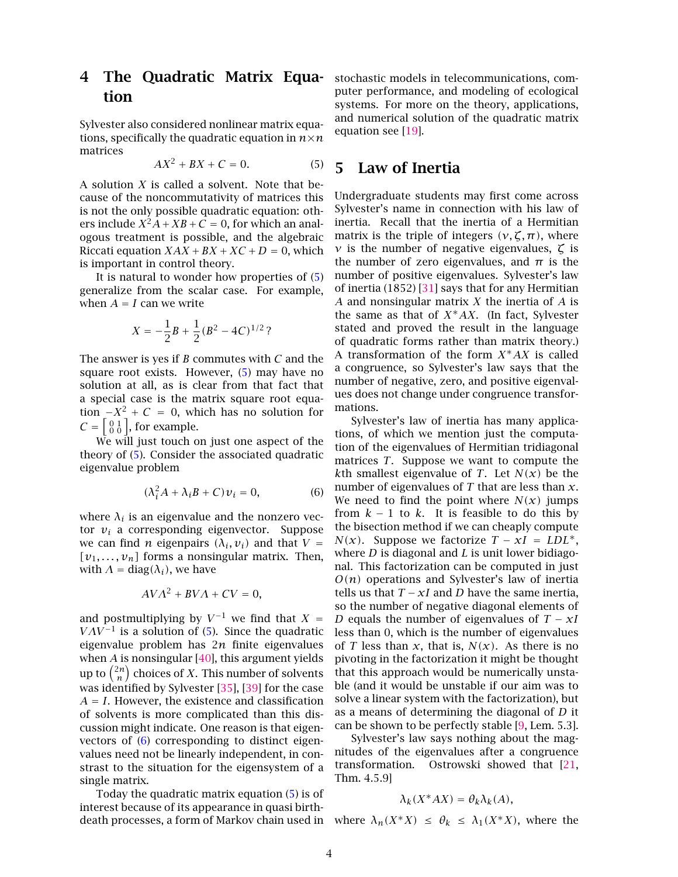### 4 The Quadratic Matrix Equation

Sylvester also considered nonlinear matrix equations, specifically the quadratic equation in  $n \times n$ matrices

<span id="page-4-0"></span>
$$
AX^2 + BX + C = 0.\t(5)
$$

A solution *X* is called a solvent. Note that because of the noncommutativity of matrices this is not the only possible quadratic equation: others include  $X^2A + XB + C = 0$ , for which an analogous treatment is possible, and the algebraic Riccati equation  $XAX + BX + XC + D = 0$ , which is important in control theory.

It is natural to wonder how properties of [\(5\)](#page-4-0) generalize from the scalar case. For example, when  $A = I$  can we write

$$
X = -\frac{1}{2}B + \frac{1}{2}(B^2 - 4C)^{1/2}
$$
?

The answer is yes if *B* commutes with *C* and the square root exists. However, [\(5\)](#page-4-0) may have no solution at all, as is clear from that fact that a special case is the matrix square root equation  $-X^2$  + *C* = 0, which has no solution for  $C = \begin{bmatrix} 0 & 1 \\ 0 & 0 \end{bmatrix}$ , for example.

We will just touch on just one aspect of the theory of [\(5\)](#page-4-0). Consider the associated quadratic eigenvalue problem

<span id="page-4-1"></span>
$$
(\lambda_i^2 A + \lambda_i B + C)v_i = 0,\t(6)
$$

where  $\lambda_i$  is an eigenvalue and the nonzero vector  $v_i$  a corresponding eigenvector. Suppose we can find *n* eigenpairs  $(\lambda_i, v_i)$  and that  $V =$  $[v_1, \ldots, v_n]$  forms a nonsingular matrix. Then, with  $\Lambda = diag(\lambda_i)$ , we have

$$
AV\Lambda^2 + BV\Lambda + CV = 0,
$$

and postmultiplying by  $V^{-1}$  we find that  $X =$  $VAV^{-1}$  is a solution of [\(5\)](#page-4-0). Since the quadratic eigenvalue problem has 2*n* finite eigenvalues when *A* is nonsingular [\[40\]](#page-8-4), this argument yields up to  $\binom{2n}{n}$  $\binom{2n}{n}$  choices of *X*. This number of solvents was identified by Sylvester [\[35\]](#page-8-5), [\[39\]](#page-8-6) for the case *A* = *I*. However, the existence and classification of solvents is more complicated than this discussion might indicate. One reason is that eigenvectors of  $(6)$  corresponding to distinct eigenvalues need not be linearly independent, in constrast to the situation for the eigensystem of a single matrix.

Today the quadratic matrix equation [\(5\)](#page-4-0) is of interest because of its appearance in quasi birthstochastic models in telecommunications, computer performance, and modeling of ecological systems. For more on the theory, applications, and numerical solution of the quadratic matrix equation see [\[19\]](#page-7-16).

#### 5 Law of Inertia

Undergraduate students may first come across Sylvester's name in connection with his law of inertia. Recall that the inertia of a Hermitian matrix is the triple of integers  $(v, \zeta, \pi)$ , where *ν* is the number of negative eigenvalues, *ζ* is the number of zero eigenvalues, and  $\pi$  is the number of positive eigenvalues. Sylvester's law of inertia (1852) [\[31\]](#page-7-10) says that for any Hermitian *A* and nonsingular matrix *X* the inertia of *A* is the same as that of *X*∗*AX*. (In fact, Sylvester stated and proved the result in the language of quadratic forms rather than matrix theory.) A transformation of the form *X*∗*AX* is called a congruence, so Sylvester's law says that the number of negative, zero, and positive eigenvalues does not change under congruence transformations.

Sylvester's law of inertia has many applications, of which we mention just the computation of the eigenvalues of Hermitian tridiagonal matrices *T*. Suppose we want to compute the *k*th smallest eigenvalue of *T*. Let  $N(x)$  be the number of eigenvalues of *T* that are less than *x*. We need to find the point where  $N(x)$  jumps from  $k - 1$  to  $k$ . It is feasible to do this by the bisection method if we can cheaply compute *N(x)*. Suppose we factorize  $T - xI = LDL^*$ , where *D* is diagonal and *L* is unit lower bidiagonal. This factorization can be computed in just *O(n)* operations and Sylvester's law of inertia tells us that  $T - xI$  and *D* have the same inertia, so the number of negative diagonal elements of *D* equals the number of eigenvalues of *T* − *xI* less than 0, which is the number of eigenvalues of *T* less than *x*, that is,  $N(x)$ . As there is no pivoting in the factorization it might be thought that this approach would be numerically unstable (and it would be unstable if our aim was to solve a linear system with the factorization), but as a means of determining the diagonal of *D* it can be shown to be perfectly stable [\[9,](#page-7-17) Lem. 5.3].

Sylvester's law says nothing about the magnitudes of the eigenvalues after a congruence transformation. Ostrowski showed that [\[21,](#page-7-18) Thm. 4.5.9]

#### $\lambda_k(X^*AX) = \theta_k \lambda_k(A)$ ,

death processes, a form of Markov chain used in where  $\lambda_n(X^*X) \leq \theta_k \leq \lambda_1(X^*X)$ , where the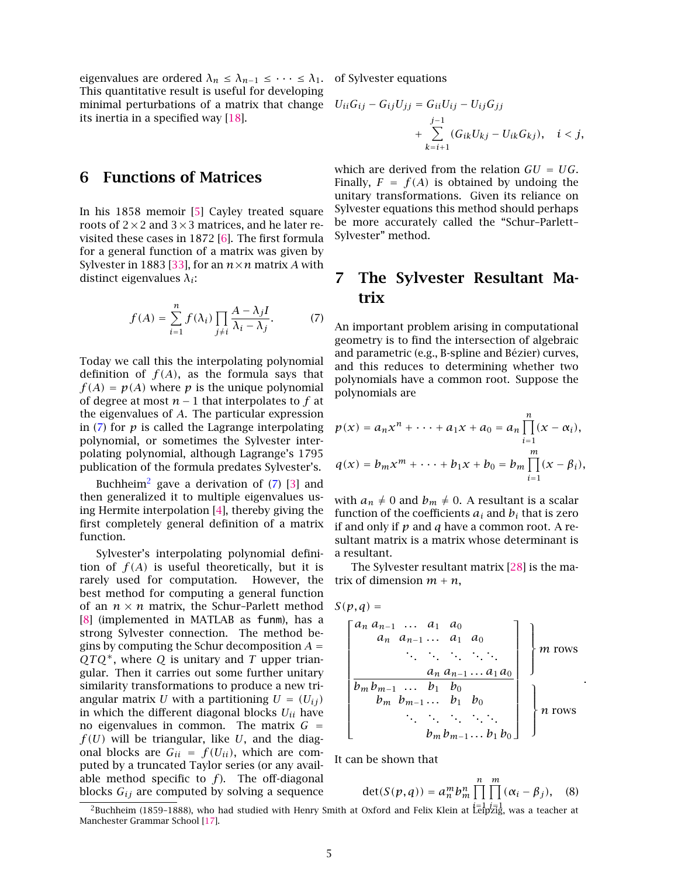eigenvalues are ordered  $\lambda_n \leq \lambda_{n-1} \leq \cdots \leq \lambda_1$ . of Sylvester equations This quantitative result is useful for developing minimal perturbations of a matrix that change its inertia in a specified way [\[18\]](#page-7-19).

#### 6 Functions of Matrices

In his 1858 memoir [\[5\]](#page-6-0) Cayley treated square roots of  $2 \times 2$  and  $3 \times 3$  matrices, and he later revisited these cases in 1872 [\[6\]](#page-6-4). The first formula for a general function of a matrix was given by Sylvester in 1883 [\[33\]](#page-7-7), for an  $n \times n$  matrix *A* with distinct eigenvalues *λi*:

<span id="page-5-0"></span>
$$
f(A) = \sum_{i=1}^{n} f(\lambda_i) \prod_{j \neq i} \frac{A - \lambda_j I}{\lambda_i - \lambda_j}.
$$
 (7)

Today we call this the interpolating polynomial definition of  $f(A)$ , as the formula says that  $f(A) = p(A)$  where *p* is the unique polynomial of degree at most  $n − 1$  that interpolates to  $f$  at the eigenvalues of *A*. The particular expression in  $(7)$  for  $p$  is called the Lagrange interpolating polynomial, or sometimes the Sylvester interpolating polynomial, although Lagrange's 1795 publication of the formula predates Sylvester's.

Buchheim<sup>[2](#page-5-1)</sup> gave a derivation of  $(7)$  [\[3\]](#page-6-5) and then generalized it to multiple eigenvalues using Hermite interpolation [\[4\]](#page-6-6), thereby giving the first completely general definition of a matrix function.

Sylvester's interpolating polynomial definition of  $f(A)$  is useful theoretically, but it is rarely used for computation. However, the best method for computing a general function of an  $n \times n$  matrix, the Schur-Parlett method [\[8\]](#page-6-7) (implemented in MATLAB as funm), has a strong Sylvester connection. The method begins by computing the Schur decomposition  $A =$ *QTQ*∗, where *Q* is unitary and *T* upper triangular. Then it carries out some further unitary similarity transformations to produce a new triangular matrix *U* with a partitioning  $U = (U_{ij})$ in which the different diagonal blocks *Uii* have no eigenvalues in common. The matrix  $G =$  $f(U)$  will be triangular, like  $U$ , and the diagonal blocks are  $G_{ii} = f(U_{ii})$ , which are computed by a truncated Taylor series (or any available method specific to  $f$ ). The off-diagonal blocks  $G_{ij}$  are computed by solving a sequence

$$
U_{ii}G_{ij} - G_{ij}U_{jj} = G_{ii}U_{ij} - U_{ij}G_{jj} + \sum_{k=i+1}^{j-1} (G_{ik}U_{kj} - U_{ik}G_{kj}), \quad i < j,
$$

which are derived from the relation *GU* = *UG*. Finally,  $F = f(A)$  is obtained by undoing the unitary transformations. Given its reliance on Sylvester equations this method should perhaps be more accurately called the "Schur–Parlett– Sylvester" method.

## 7 The Sylvester Resultant Matrix

An important problem arising in computational geometry is to find the intersection of algebraic and parametric (e.g., B-spline and Bézier) curves, and this reduces to determining whether two polynomials have a common root. Suppose the polynomials are

$$
p(x) = a_n x^n + \dots + a_1 x + a_0 = a_n \prod_{i=1}^n (x - \alpha_i),
$$
  

$$
q(x) = b_m x^m + \dots + b_1 x + b_0 = b_m \prod_{i=1}^m (x - \beta_i),
$$

with  $a_n \neq 0$  and  $b_m \neq 0$ . A resultant is a scalar function of the coefficients  $a_i$  and  $b_i$  that is zero if and only if *p* and *q* have a common root. A resultant matrix is a matrix whose determinant is a resultant.

The Sylvester resultant matrix [\[28\]](#page-7-20) is the matrix of dimension  $m + n$ ,

$$
S(p,q) =
$$
\n
$$
\begin{bmatrix}\na_n a_{n-1} & a_1 & a_0 & a_{n-1} & \cdots & a_1 & a_0 \\
a_n & a_{n-1} & a_1 & a_0 & a_{n-1} & \cdots & a_1 & a_0 \\
\vdots & \vdots & \vdots & \ddots & \vdots & \vdots \\
b_m b_{m-1} & b_1 & b_0 & b_0 & \cdots & b_1 & b_0 \\
\vdots & \vdots & \vdots & \ddots & \vdots & \vdots \\
b_m b_{m-1} & b_1 & b_0 & b_0 & \cdots & b_1 & b_0\n\end{bmatrix}
$$
\n*m* rows

*.*

It can be shown that

$$
\det(S(p,q)) = a_n^m b_m^n \prod_{i=1}^n \prod_{j=1}^m (\alpha_i - \beta_j), \quad (8)
$$

<span id="page-5-1"></span> $\frac{1}{2}$ Buchheim (1859–1888), who had studied with Henry Smith at Oxford and Felix Klein at Leipzig, was a teacher at Manchester Grammar School [\[17\]](#page-7-21).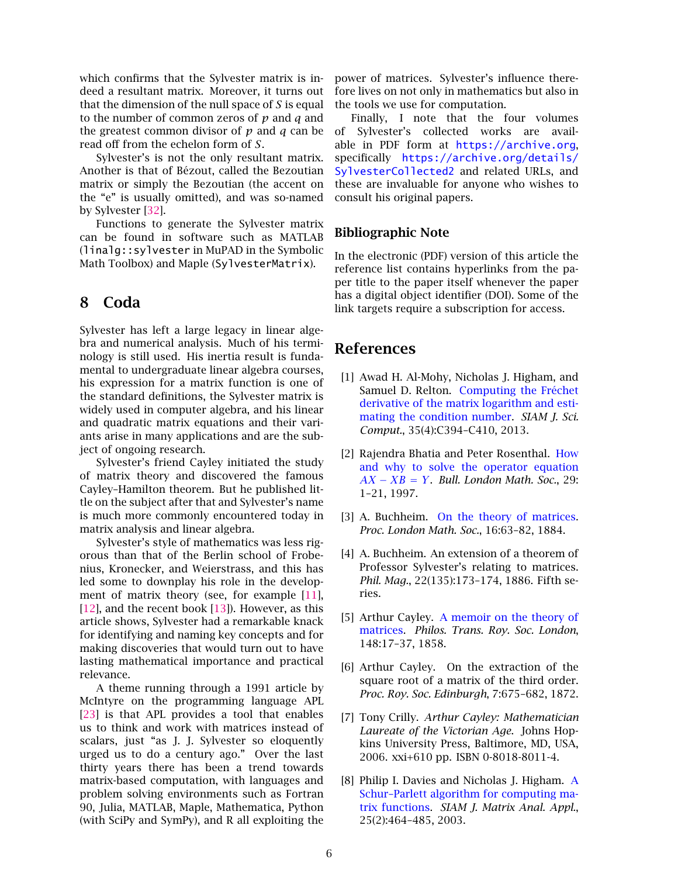which confirms that the Sylvester matrix is indeed a resultant matrix. Moreover, it turns out that the dimension of the null space of *S* is equal to the number of common zeros of *p* and *q* and the greatest common divisor of *p* and *q* can be read off from the echelon form of *S*.

Sylvester's is not the only resultant matrix. Another is that of Bézout, called the Bezoutian matrix or simply the Bezoutian (the accent on the "e" is usually omitted), and was so-named by Sylvester [\[32\]](#page-7-5).

Functions to generate the Sylvester matrix can be found in software such as MATLAB (linalg::sylvester in MuPAD in the Symbolic Math Toolbox) and Maple (SylvesterMatrix).

### 8 Coda

Sylvester has left a large legacy in linear algebra and numerical analysis. Much of his terminology is still used. His inertia result is fundamental to undergraduate linear algebra courses, his expression for a matrix function is one of the standard definitions, the Sylvester matrix is widely used in computer algebra, and his linear and quadratic matrix equations and their variants arise in many applications and are the subject of ongoing research.

Sylvester's friend Cayley initiated the study of matrix theory and discovered the famous Cayley–Hamilton theorem. But he published little on the subject after that and Sylvester's name is much more commonly encountered today in matrix analysis and linear algebra.

Sylvester's style of mathematics was less rigorous than that of the Berlin school of Frobenius, Kronecker, and Weierstrass, and this has led some to downplay his role in the develop-ment of matrix theory (see, for example [\[11\]](#page-7-22), [\[12\]](#page-7-23), and the recent book [\[13\]](#page-7-24)). However, as this article shows, Sylvester had a remarkable knack for identifying and naming key concepts and for making discoveries that would turn out to have lasting mathematical importance and practical relevance.

A theme running through a 1991 article by McIntyre on the programming language APL [\[23\]](#page-7-9) is that APL provides a tool that enables us to think and work with matrices instead of scalars, just "as J. J. Sylvester so eloquently urged us to do a century ago." Over the last thirty years there has been a trend towards matrix-based computation, with languages and problem solving environments such as Fortran 90, Julia, MATLAB, Maple, Mathematica, Python (with SciPy and SymPy), and R all exploiting the power of matrices. Sylvester's influence therefore lives on not only in mathematics but also in the tools we use for computation.

Finally, I note that the four volumes of Sylvester's collected works are available in PDF form at <https://archive.org>, specifically [https://archive.org/details/](https://archive.org/details/SylvesterCollected2) [SylvesterCollected2](https://archive.org/details/SylvesterCollected2) and related URLs, and these are invaluable for anyone who wishes to consult his original papers.

#### Bibliographic Note

In the electronic (PDF) version of this article the reference list contains hyperlinks from the paper title to the paper itself whenever the paper has a digital object identifier (DOI). Some of the link targets require a subscription for access.

#### References

- <span id="page-6-2"></span>[1] Awad H. Al-Mohy, Nicholas J. Higham, and Samuel D. Relton. [Computing the Fréchet](http://dx.doi.org/10.1137/120885991) [derivative of the matrix logarithm and esti](http://dx.doi.org/10.1137/120885991)[mating the condition number.](http://dx.doi.org/10.1137/120885991) *SIAM J. Sci. Comput.*, 35(4):C394–C410, 2013.
- <span id="page-6-3"></span>[2] Rajendra Bhatia and Peter Rosenthal. [How](http://dx.doi.org/10.1112/S0024609396001828) [and why to solve the operator equation](http://dx.doi.org/10.1112/S0024609396001828) *[AX](http://dx.doi.org/10.1112/S0024609396001828)* − *XB* = *Y*. *Bull. London Math. Soc.*, 29: 1–21, 1997.
- <span id="page-6-5"></span>[3] A. Buchheim. [On the theory of matrices.](http://dx.doi.org/10.1112/plms/s1-16.1.63) *Proc. London Math. Soc.*, 16:63–82, 1884.
- <span id="page-6-6"></span>[4] A. Buchheim. An extension of a theorem of Professor Sylvester's relating to matrices. *Phil. Mag.*, 22(135):173–174, 1886. Fifth series.
- <span id="page-6-0"></span>[5] Arthur Cayley. [A memoir on the theory of](http://dx.doi.org/10.1098/rstl.1858.0002) [matrices.](http://dx.doi.org/10.1098/rstl.1858.0002) *Philos. Trans. Roy. Soc. London*, 148:17–37, 1858.
- <span id="page-6-4"></span>[6] Arthur Cayley. On the extraction of the square root of a matrix of the third order. *Proc. Roy. Soc. Edinburgh*, 7:675–682, 1872.
- <span id="page-6-1"></span>[7] Tony Crilly. *Arthur Cayley: Mathematician Laureate of the Victorian Age*. Johns Hopkins University Press, Baltimore, MD, USA, 2006. xxi+610 pp. ISBN 0-8018-8011-4.
- <span id="page-6-7"></span>[8] Philip I. Davies and Nicholas J. Higham. [A](http://dx.doi.org/10.1137/S0895479802410815) [Schur–Parlett algorithm for computing ma](http://dx.doi.org/10.1137/S0895479802410815)[trix functions.](http://dx.doi.org/10.1137/S0895479802410815) *SIAM J. Matrix Anal. Appl.*, 25(2):464–485, 2003.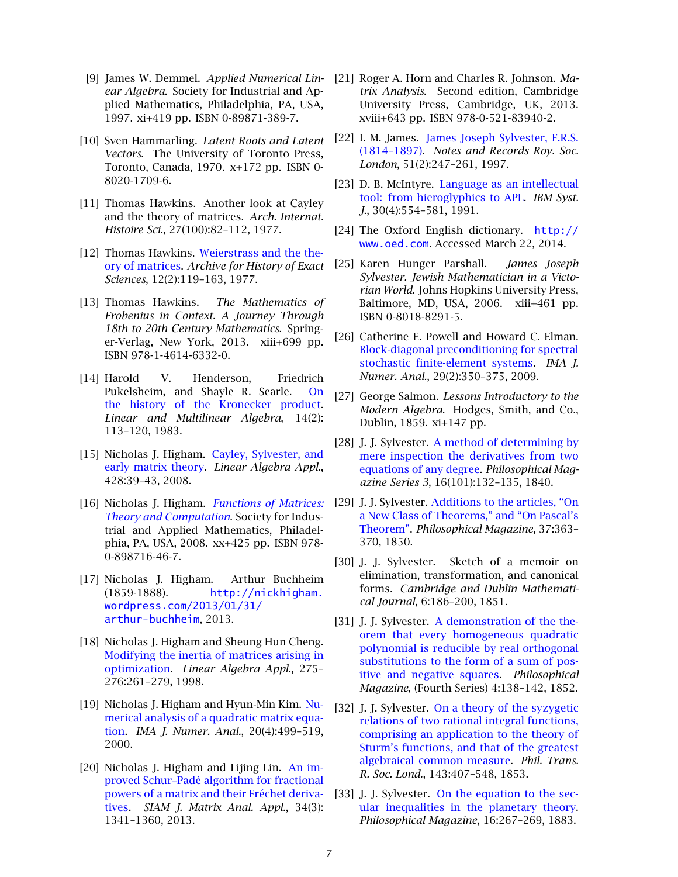- <span id="page-7-17"></span>[9] James W. Demmel. *Applied Numerical Linear Algebra*. Society for Industrial and Applied Mathematics, Philadelphia, PA, USA, 1997. xi+419 pp. ISBN 0-89871-389-7.
- <span id="page-7-8"></span>[10] Sven Hammarling. *Latent Roots and Latent Vectors*. The University of Toronto Press, Toronto, Canada, 1970. x+172 pp. ISBN 0- 8020-1709-6.
- <span id="page-7-22"></span>[11] Thomas Hawkins. Another look at Cayley and the theory of matrices. *Arch. Internat. Histoire Sci.*, 27(100):82–112, 1977.
- <span id="page-7-23"></span>[12] Thomas Hawkins. [Weierstrass and the the](http://dx.doi.org/10.1007/BF02464978)[ory of matrices.](http://dx.doi.org/10.1007/BF02464978) *Archive for History of Exact Sciences*, 12(2):119–163, 1977.
- <span id="page-7-24"></span>[13] Thomas Hawkins. *The Mathematics of Frobenius in Context. A Journey Through 18th to 20th Century Mathematics*. Springer-Verlag, New York, 2013. xiii+699 pp. ISBN 978-1-4614-6332-0.
- <span id="page-7-12"></span>[14] Harold V. Henderson, Friedrich Pukelsheim, and Shayle R. Searle. [On](http://dx.doi.org/10.1080/03081088308817548) [the history of the Kronecker product.](http://dx.doi.org/10.1080/03081088308817548) *Linear and Multilinear Algebra*, 14(2): 113–120, 1983.
- <span id="page-7-1"></span>[15] Nicholas J. Higham. [Cayley, Sylvester, and](http://dx.doi.org/10.1016/j.laa.2007.10.004) [early matrix theory.](http://dx.doi.org/10.1016/j.laa.2007.10.004) *Linear Algebra Appl.*, 428:39–43, 2008.
- <span id="page-7-13"></span>[16] Nicholas J. Higham. *[Functions of Matrices:](http://dx.doi.org/10.1137/1.9780898717778) [Theory and Computation](http://dx.doi.org/10.1137/1.9780898717778)*. Society for Industrial and Applied Mathematics, Philadelphia, PA, USA, 2008. xx+425 pp. ISBN 978- 0-898716-46-7.
- <span id="page-7-21"></span>[17] Nicholas J. Higham. Arthur Buchheim (1859-1888). [http://nickhigham.](http://nickhigham.wordpress.com/2013/01/31/arthur-buchheim) [wordpress.com/2013/01/31/](http://nickhigham.wordpress.com/2013/01/31/arthur-buchheim) [arthur-buchheim](http://nickhigham.wordpress.com/2013/01/31/arthur-buchheim), 2013.
- <span id="page-7-19"></span>[18] Nicholas J. Higham and Sheung Hun Cheng. [Modifying the inertia of matrices arising in](http://dx.doi.org/10.1016/S0024-3795(97)10015-5) [optimization.](http://dx.doi.org/10.1016/S0024-3795(97)10015-5) *Linear Algebra Appl.*, 275– 276:261–279, 1998.
- <span id="page-7-16"></span>[19] Nicholas J. Higham and Hyun-Min Kim. [Nu](http://dx.doi.org/10.1093/imanum/20.4.499)[merical analysis of a quadratic matrix equa](http://dx.doi.org/10.1093/imanum/20.4.499)[tion.](http://dx.doi.org/10.1093/imanum/20.4.499) *IMA J. Numer. Anal.*, 20(4):499–519, 2000.
- <span id="page-7-14"></span>[20] Nicholas J. Higham and Lijing Lin. [An im](http://dx.doi.org/10.1137/130906118)[proved Schur–Padé algorithm for fractional](http://dx.doi.org/10.1137/130906118) [powers of a matrix and their Fréchet deriva](http://dx.doi.org/10.1137/130906118)[tives.](http://dx.doi.org/10.1137/130906118) *SIAM J. Matrix Anal. Appl.*, 34(3): 1341–1360, 2013.
- <span id="page-7-18"></span>[21] Roger A. Horn and Charles R. Johnson. *Matrix Analysis*. Second edition, Cambridge University Press, Cambridge, UK, 2013. xviii+643 pp. ISBN 978-0-521-83940-2.
- <span id="page-7-2"></span>[22] I. M. James. [James Joseph Sylvester, F.R.S.](http://dx.doi.org/10.1098/rsnr.1997.0021) [\(1814–1897\).](http://dx.doi.org/10.1098/rsnr.1997.0021) *Notes and Records Roy. Soc. London*, 51(2):247–261, 1997.
- <span id="page-7-9"></span>[23] D. B. McIntyre. [Language as an intellectual](http://dx.doi.org/10.1147/sj.304.0554) [tool: from hieroglyphics to APL.](http://dx.doi.org/10.1147/sj.304.0554) *IBM Syst. J.*, 30(4):554–581, 1991.
- <span id="page-7-11"></span>[24] The Oxford English dictionary. [http://](http://www.oed.com) [www.oed.com](http://www.oed.com). Accessed March 22, 2014.
- <span id="page-7-0"></span>[25] Karen Hunger Parshall. *James Joseph Sylvester. Jewish Mathematician in a Victorian World*. Johns Hopkins University Press, Baltimore, MD, USA, 2006. xiii+461 pp. ISBN 0-8018-8291-5.
- <span id="page-7-15"></span>[26] Catherine E. Powell and Howard C. Elman. [Block-diagonal preconditioning for spectral](http://dx.doi.org/10.1093/imanum/drn014) [stochastic finite-element systems.](http://dx.doi.org/10.1093/imanum/drn014) *IMA J. Numer. Anal.*, 29(2):350–375, 2009.
- <span id="page-7-4"></span>[27] George Salmon. *Lessons Introductory to the Modern Algebra*. Hodges, Smith, and Co., Dublin, 1859. xi+147 pp.
- <span id="page-7-20"></span>[28] J. J. Sylvester. [A method of determining by](http://dx.doi.org/10.1080/14786444008649995) [mere inspection the derivatives from two](http://dx.doi.org/10.1080/14786444008649995) [equations of any degree.](http://dx.doi.org/10.1080/14786444008649995) *Philosophical Magazine Series 3*, 16(101):132–135, 1840.
- <span id="page-7-3"></span>[29] J. J. Sylvester. [Additions to the articles, "On](http://dx.doi.org/10.1080/14786445008646629) [a New Class of Theorems," and "On Pascal's](http://dx.doi.org/10.1080/14786445008646629) [Theorem".](http://dx.doi.org/10.1080/14786445008646629) *Philosophical Magazine*, 37:363– 370, 1850.
- <span id="page-7-6"></span>[30] J. J. Sylvester. Sketch of a memoir on elimination, transformation, and canonical forms. *Cambridge and Dublin Mathematical Journal*, 6:186–200, 1851.
- <span id="page-7-10"></span>[31] J. J. Sylvester. [A demonstration of the the](http://dx.doi.org/10.1080/14786445208647087)[orem that every homogeneous quadratic](http://dx.doi.org/10.1080/14786445208647087) [polynomial is reducible by real orthogonal](http://dx.doi.org/10.1080/14786445208647087) [substitutions to the form of a sum of pos](http://dx.doi.org/10.1080/14786445208647087)[itive and negative squares.](http://dx.doi.org/10.1080/14786445208647087) *Philosophical Magazine*, (Fourth Series) 4:138–142, 1852.
- <span id="page-7-5"></span>[32] J. J. Sylvester. [On a theory of the syzygetic](http://dx.doi.org/10.1098/rstl.1853.0018) [relations of two rational integral functions,](http://dx.doi.org/10.1098/rstl.1853.0018) [comprising an application to the theory of](http://dx.doi.org/10.1098/rstl.1853.0018) [Sturm's functions, and that of the greatest](http://dx.doi.org/10.1098/rstl.1853.0018) [algebraical common measure.](http://dx.doi.org/10.1098/rstl.1853.0018) *Phil. Trans. R. Soc. Lond.*, 143:407–548, 1853.
- <span id="page-7-7"></span>[33] J. J. Sylvester. [On the equation to the sec](http://dx.doi.org/10.1080/14786448308627430)[ular inequalities in the planetary theory.](http://dx.doi.org/10.1080/14786448308627430) *Philosophical Magazine*, 16:267–269, 1883.